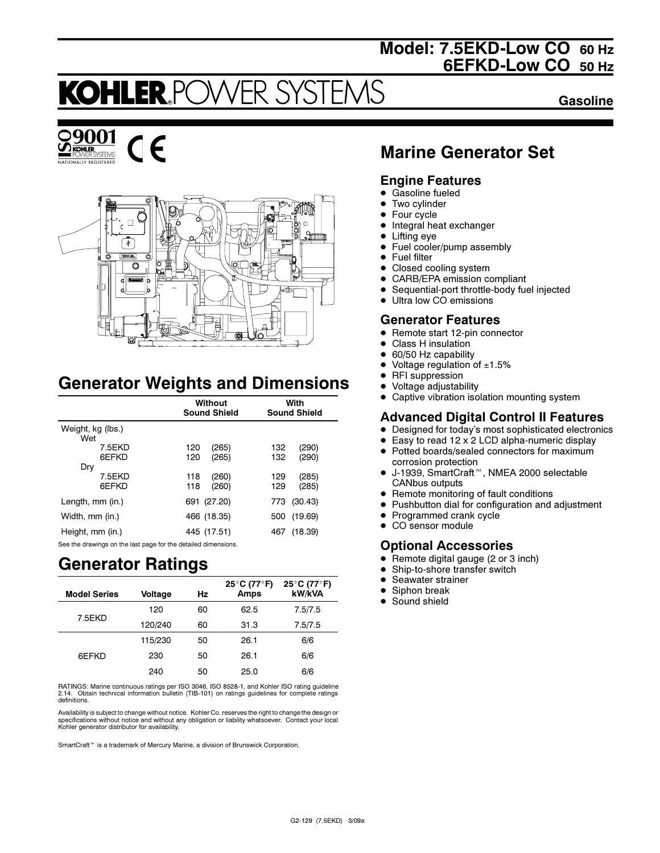## Model: 7.5EKD-Low CO 60 Hz 6EFKD-Low CO 50 Hz

## **KOHLER PC** FR S

Gasoline





# Generator Weights and Dimensions

|                          | Without<br><b>Sound Shield</b> | With<br><b>Sound Shield</b>  |
|--------------------------|--------------------------------|------------------------------|
| Weight, kg (lbs.)<br>Wet |                                |                              |
| 7.5EKD<br><b>GFFKD</b>   | 120<br>(265)<br>(265)<br>120   | 132<br>(290)<br>(290)<br>132 |
| Dry<br>7.5EKD<br>6EFKD   | (260)<br>118<br>(260)<br>118   | (285)<br>129<br>(285)<br>129 |
| Length, mm (in.)         | 691 (27.20)                    | (30.43)<br>773               |
| Width, mm (in.)          | 466 (18.35)                    | (19.69)<br>500               |
| Height, mm (in.)         | 445 (17.51)                    | (18.39)<br>467               |

See the drawings on the last page for the detailed dimensions.

## Generator Ratings

| <b>Model Series</b> | Voltage | Hz | 25°C (77°F)<br>Amps | 25°C (77°F)<br>kW/kVA |
|---------------------|---------|----|---------------------|-----------------------|
|                     | 120     | 60 | 62.5                | 7.5/7.5               |
| 7.5EKD              | 120/240 | 60 | 31.3                | 7.5/7.5               |
|                     | 115/230 | 50 | 26.1                | 6/6                   |
| 6EFKD               | 230     | 50 | 26.1                | 6/6                   |
|                     | 240     | 50 | 25.0                | 6/6                   |

RATINGS: Marine continuous ratings per ISO 3046, ISO 8528-1, and Kohler ISO rating guideline 2.14. Obtain technical information bulletin (TIB-101) on ratings guidelines for complete ratings definitions.

Availability is subject to change without notice. Kohler Co. reserves the right to change the design or specifications without notice and without any obligation or liability whatsoever. Contact your local Kohler generator distributor for availability.

SmartCraft<sup>™</sup> is a trademark of Mercury Marine, a division of Brunswick Corporation.

## Marine Generator Set

### Engine Features

- $\bullet$ Gasoline fueled
- $\bullet$ Two cylinder
- $\bullet$ Four cycle
- $\bullet$ Integral heat exchanger
- $\bullet$ Lifting eye
- $\bullet$ Fuel cooler/pump assembly
- Fuel filter
- $\bullet$ Closed cooling system
- $\bullet$ CARB/EPA emission compliant
- $\bullet$ Sequential-port throttle-body fuel injected
- $\bullet$ Ultra low CO emissions

### Generator Features

- Remote start 12-pin connector
- -Class H insulation
- $\bullet$ 60/50 Hz capability
- -Voltage regulation of  $±1.5%$
- $\bullet$ RFI suppression
- -Voltage adjustability
- $\bullet$ Captive vibration isolation mounting system

## Advanced Digital Control II Features

- Designed for today's most sophisticated electronics
- $\bullet$  Easy to read 12 x 2 LCD alpha-numeric display  $\bullet$ Potted boards/sealed connectors for maximum
- corrosion protection -J-1939, SmartCraft<sup>™</sup>, NMEA 2000 selectable CANbus outputs
- Remote monitoring of fault conditions
- Pushbutton dial for configuration and adjustment
- Programmed crank cycle
- CO sensor module

### Optional Accessories

- $\bullet$ Remote digital gauge (2 or 3 inch)
- -Ship-to-shore transfer switch
- $\bullet$ Seawater strainer
- $\bullet$ Siphon break
- $\bullet$ Sound shield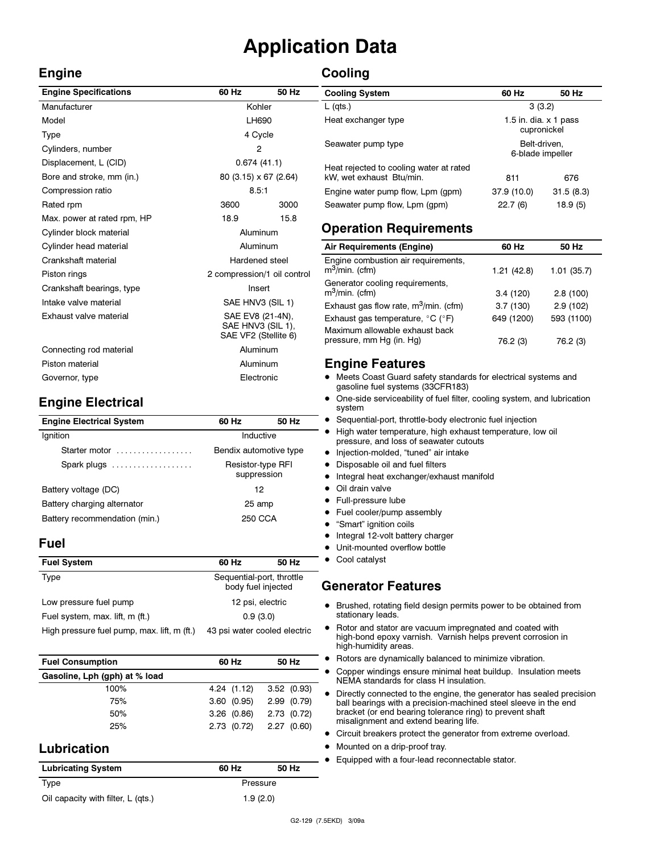# Application Data

## Engine

## **Cooling**

| <b>Engine Specifications</b> | 60 Hz                                                         | 50 Hz |
|------------------------------|---------------------------------------------------------------|-------|
| Manufacturer                 | Kohler                                                        |       |
| Model                        | LH690                                                         |       |
| Type                         | 4 Cycle                                                       |       |
| Cylinders, number            | 2                                                             |       |
| Displacement, L (CID)        | 0.674(41.1)                                                   |       |
| Bore and stroke, mm (in.)    | 80 (3.15) x 67 (2.64)                                         |       |
| Compression ratio            | 8.5:1                                                         |       |
| Rated rpm                    | 3600                                                          | 3000  |
| Max. power at rated rpm, HP  | 18.9                                                          | 15.8  |
| Cylinder block material      | Aluminum                                                      |       |
| Cylinder head material       | Aluminum                                                      |       |
| Crankshaft material          | Hardened steel                                                |       |
| Piston rings                 | 2 compression/1 oil control                                   |       |
| Crankshaft bearings, type    | Insert                                                        |       |
| Intake valve material        | SAE HNV3 (SIL 1)                                              |       |
| Exhaust valve material       | SAE EV8 (21-4N),<br>SAE HNV3 (SIL 1),<br>SAE VF2 (Stellite 6) |       |
| Connecting rod material      | Aluminum                                                      |       |
| Piston material              | Aluminum                                                      |       |
| Governor, type               | Electronic                                                    |       |

## Engine Electrical

| <b>Engine Electrical System</b> | 60 Hz                            | 50 Hz |
|---------------------------------|----------------------------------|-------|
| Ignition                        | Inductive                        |       |
| Starter motor                   | Bendix automotive type           |       |
| Spark plugs                     | Resistor-type RFI<br>suppression |       |
| Battery voltage (DC)            | 12                               |       |
| Battery charging alternator     | 25 amp                           |       |
| Battery recommendation (min.)   | 250 CCA                          |       |
|                                 |                                  |       |

### Fuel

| <b>Fuel System</b>                          | 60 Hz                                           | 50 Hz |
|---------------------------------------------|-------------------------------------------------|-------|
| Type                                        | Sequential-port, throttle<br>body fuel injected |       |
| Low pressure fuel pump                      | 12 psi, electric                                |       |
| Fuel system, max. lift, m (ft.)             | 0.9(3.0)                                        |       |
| High pressure fuel pump, max. lift, m (ft.) | 43 psi water cooled electric                    |       |

| <b>Fuel Consumption</b>       | 60 Hz      | 50 Hz      |
|-------------------------------|------------|------------|
| Gasoline, Lph (gph) at % load |            |            |
| 100%                          | 4.24(1.12) | 3.52(0.93) |
| 75%                           | 3.60(0.95) | 2.99(0.79) |
| 50%                           | 3.26(0.86) | 2.73(0.72) |
| 25%                           | 2.73(0.72) | 2.27(0.60) |

## Lubrication

| <b>Lubricating System</b>          | 60 Hz    | 50 Hz |  |
|------------------------------------|----------|-------|--|
| Type                               | Pressure |       |  |
| Oil capacity with filter, L (qts.) | 1.9(2.0) |       |  |

| <b>Cooling System</b>                                               | 60 Hz                                       | 50 Hz     |
|---------------------------------------------------------------------|---------------------------------------------|-----------|
| $L$ (qts.)                                                          | 3(3.2)                                      |           |
| Heat exchanger type                                                 | 1.5 in. dia. $\times$ 1 pass<br>cupronickel |           |
| Seawater pump type                                                  | Belt-driven.<br>6-blade impeller            |           |
| Heat rejected to cooling water at rated<br>kW, wet exhaust Btu/min. | 811                                         | 676       |
| Engine water pump flow, Lpm (gpm)                                   | 37.9 (10.0)                                 | 31.5(8.3) |
| Seawater pump flow, Lpm (gpm)                                       | 22.7(6)                                     | 18.9 (5)  |

## Operation Requirements

| Air Requirements (Engine)                                  | 60 Hz      | 50 Hz      |
|------------------------------------------------------------|------------|------------|
| Engine combustion air requirements,<br>$m^3$ /min. (cfm)   | 1.21(42.8) | 1.01(35.7) |
| Generator cooling requirements,<br>$m^3$ /min. (cfm)       | 3.4(120)   | 2.8(100)   |
| Exhaust gas flow rate, m <sup>3</sup> /min. (cfm)          | 3.7(130)   | 2.9(102)   |
| Exhaust gas temperature, $^{\circ}$ C ( $^{\circ}$ F)      | 649 (1200) | 593 (1100) |
| Maximum allowable exhaust back<br>pressure, mm Hg (in. Hg) | 76.2 (3)   | 76.2 (3)   |

## Engine Features

- Meets Coast Guard safety standards for electrical systems and gasoline fuel systems (33CFR183)
- $\bullet$  One-side serviceability of fuel filter, cooling system, and lubrication system
- Sequential-port, throttle-body electronic fuel injection
- High water temperature, high exhaust temperature, low oil pressure, and loss of seawater cutouts
- · Injection-molded, "tuned" air intake
- Disposable oil and fuel filters
- Integral heat exchanger/exhaust manifold
- $\bullet$ Oil drain valve
- **•** Full-pressure lube
- Fuel cooler/pump assembly
- **•** "Smart" ignition coils
- Integral 12-volt battery charger
- $\bullet$ Unit-mounted overflow bottle
- Cool catalyst

### Generator Features

- Brushed, rotating field design permits power to be obtained from stationary leads.
- Rotor and stator are vacuum impregnated and coated with high-bond epoxy varnish. Varnish helps prevent corrosion in high-humidity areas.
- Rotors are dynamically balanced to minimize vibration.
- $\bullet$  Copper windings ensure minimal heat buildup. Insulation meets NEMA standards for class H insulation.
- Directly connected to the engine, the generator has sealed precision ball bearings with a precision-machined steel sleeve in the end bracket (or end bearing tolerance ring) to prevent shaft misalignment and extend bearing life.
- Circuit breakers protect the generator from extreme overload.
- Mounted on a drip-proof tray.
- **Equipped with a four-lead reconnectable stator.**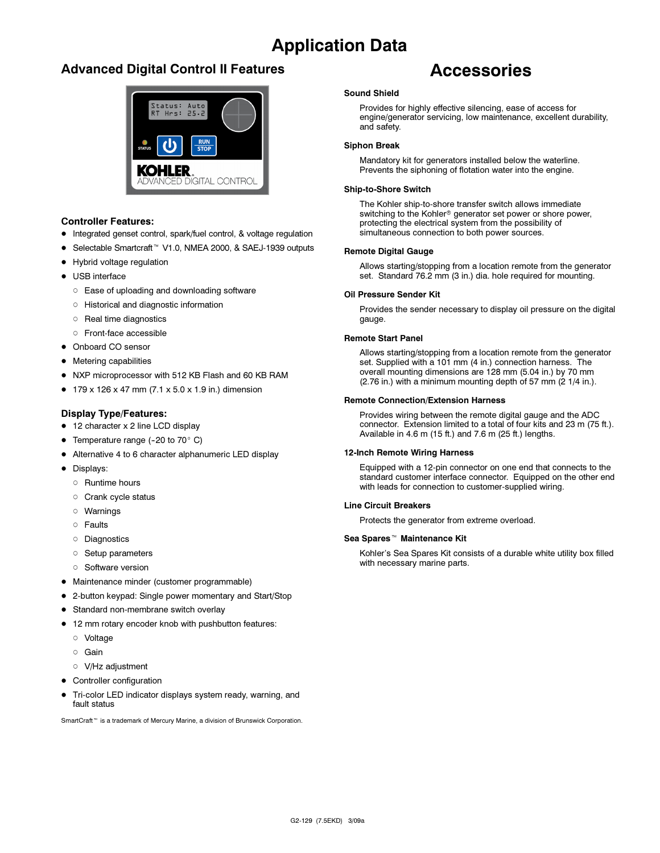# Application Data

## Advanced Digital Control II Features



### Controller Features:

- Integrated genset control, spark/fuel control, & voltage regulation
- Selectable Smartcraft<sup>™</sup> V1.0, NMEA 2000, & SAEJ-1939 outputs
- Hybrid voltage regulation
- USB interface
	- Ease of uploading and downloading software
	- Historical and diagnostic information
	- o Real time diagnostics
	- Front-face accessible
- Onboard CO sensor
- **•** Metering capabilities
- NXP microprocessor with 512 KB Flash and 60 KB RAM
- $179 \times 126 \times 47$  mm (7.1  $\times$  5.0  $\times$  1.9 in.) dimension

### Display Type/Features:

- 12 character x 2 line LCD display
- Temperature range  $(-20 \text{ to } 70^{\circ} \text{ C})$
- Alternative 4 to 6 character alphanumeric LED display
- · Displays:
	- o Runtime hours
	- o Crank cycle status
	- Warnings
	- o Faults
	- Diagnostics
	- **Setup parameters**
	- o Software version
- Maintenance minder (customer programmable)
- 2-button keypad: Single power momentary and Start/Stop
- **Standard non-membrane switch overlay**
- 12 mm rotary encoder knob with pushbutton features:
	- Voltage
	- Gain
	- V/Hz adjustment
- Controller configuration
- $\bullet$  Tri-color LED indicator displays system ready, warning, and fault status

SmartCraft<sup>™</sup> is a trademark of Mercury Marine, a division of Brunswick Corporation.

## Accessories

### Sound Shield

Provides for highly effective silencing, ease of access for engine/generator servicing, low maintenance, excellent durability, and safety.

### Siphon Break

Mandatory kit for generators installed below the waterline. Prevents the siphoning of flotation water into the engine.

### Ship-to-Shore Switch

The Kohler ship-to-shore transfer switch allows immediate switching to the Kohler<sup>®</sup> generator set power or shore power, protecting the electrical system from the possibility of simultaneous connection to both power sources.

### Remote Digital Gauge

Allows starting/stopping from a location remote from the generator set. Standard 76.2 mm (3 in.) dia. hole required for mounting.

### Oil Pressure Sender Kit

Provides the sender necessary to display oil pressure on the digital gauge.

### Remote Start Panel

Allows starting/stopping from a location remote from the generator set. Supplied with a 101 mm (4 in.) connection harness. The overall mounting dimensions are 128 mm (5.04 in.) by 70 mm  $(2.76$  in.) with a minimum mounting depth of 57 mm  $(2.1/4$  in.).

### Remote Connection/Extension Harness

Provides wiring between the remote digital gauge and the ADC connector. Extension limited to a total of four kits and 23 m (75 ft.). Available in 4.6 m (15 ft.) and 7.6 m (25 ft.) lengths.

### 12-Inch Remote Wiring Harness

Equipped with a 12-pin connector on one end that connects to the standard customer interface connector. Equipped on the other end with leads for connection to customer-supplied wiring.

### Line Circuit Breakers

Protects the generator from extreme overload.

#### Sea Spares<sup>™</sup> Maintenance Kit

Kohler's Sea Spares Kit consists of a durable white utility box filled with necessary marine parts.